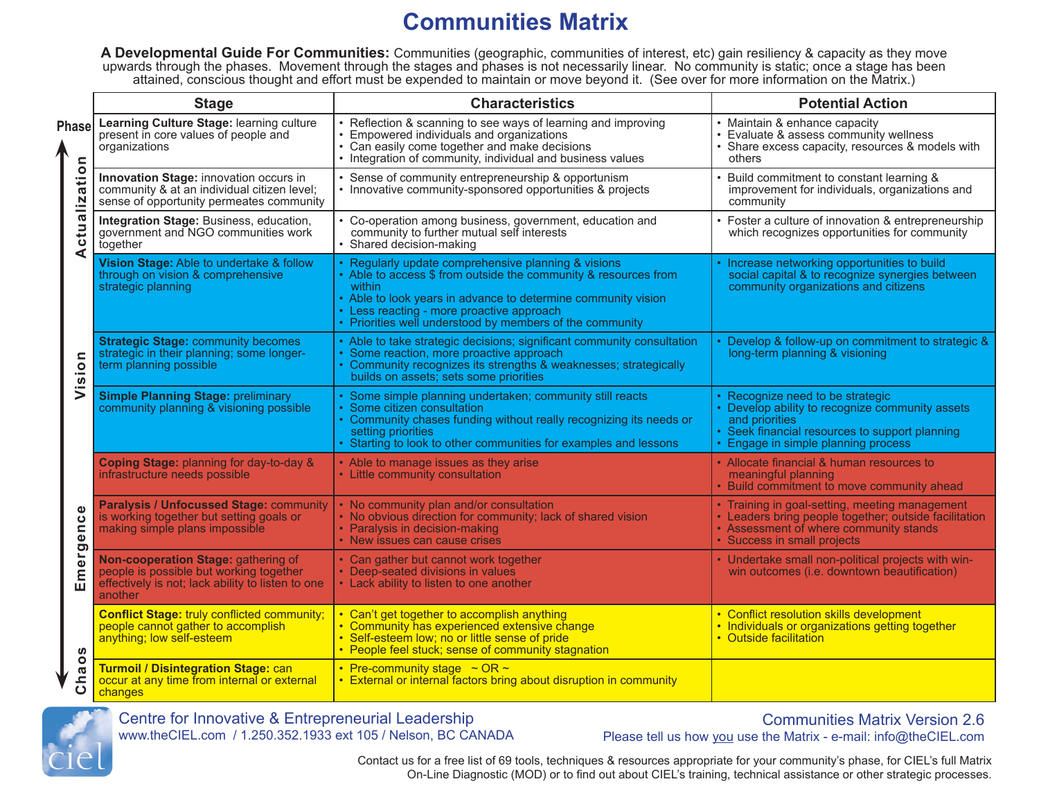# **Communities Matrix**

**A Developmental Guide For Communities:** Communities (geographic, communities of interest, etc) gain resiliency & capacity as they move upwards through the phases. Movement through the stages and phases is not necessarily linear. No community is static; once a stage has been attained, conscious thought and effort must be expended to maintain or move beyond it. (See over for more information on the Matrix.)

|                                                          | <b>Stage</b>                                                                                                                                   | <b>Characteristics</b>                                                                                                                                                                                                                                                                                     | <b>Potential Action</b>                                                                                                                                                                        |
|----------------------------------------------------------|------------------------------------------------------------------------------------------------------------------------------------------------|------------------------------------------------------------------------------------------------------------------------------------------------------------------------------------------------------------------------------------------------------------------------------------------------------------|------------------------------------------------------------------------------------------------------------------------------------------------------------------------------------------------|
| Phasel<br>Actualization<br>Vision<br>ence<br>Emergo<br>ഗ | Learning Culture Stage: learning culture<br>present in core values of people and<br>organizations                                              | • Reflection & scanning to see ways of learning and improving<br>• Empowered individuals and organizations<br>• Can easily come together and make decisions<br>• Integration of community, individual and business values                                                                                  | • Maintain & enhance capacity<br>• Evaluate & assess community wellness<br>• Share excess capacity, resources & models with<br>others                                                          |
|                                                          | Innovation Stage: innovation occurs in<br>community & at an individual citizen level;<br>sense of opportunity permeates community              | • Sense of community entrepreneurship & opportunism<br>• Innovative community-sponsored opportunities & projects                                                                                                                                                                                           | • Build commitment to constant learning &<br>improvement for individuals, organizations and<br>community                                                                                       |
|                                                          | Integration Stage: Business, education,<br>government and NGO communities work<br>together                                                     | • Co-operation among business, government, education and<br>community to further mutual self interests<br>• Shared decision-making                                                                                                                                                                         | • Foster a culture of innovation & entrepreneurship<br>which recognizes opportunities for community                                                                                            |
|                                                          | Vision Stage: Able to undertake & follow<br>through on vision & comprehensive<br>strategic planning                                            | • Regularly update comprehensive planning & visions<br>• Able to access \$ from outside the community & resources from<br>within<br>• Able to look years in advance to determine community vision<br>• Less reacting - more proactive approach<br>• Priorities well understood by members of the community | • Increase networking opportunities to build<br>social capital & to recognize synergies between<br>community organizations and citizens                                                        |
|                                                          | <b>Strategic Stage: community becomes</b><br>strategic in their planning; some longer-<br>term planning possible                               | • Able to take strategic decisions; significant community consultation<br>• Some reaction, more proactive approach<br>• Community recognizes its strengths & weaknesses; strategically<br>builds on assets; sets some priorities                                                                           | • Develop & follow-up on commitment to strategic &<br>long-term planning & visioning                                                                                                           |
|                                                          | <b>Simple Planning Stage: preliminary</b><br>community planning & visioning possible                                                           | • Some simple planning undertaken; community still reacts<br>• Some citizen consultation<br>• Community chases funding without really recognizing its needs or<br>setting priorities<br>• Starting to look to other communities for examples and lessons                                                   | • Recognize need to be strategic<br>• Develop ability to recognize community assets<br>and priorities<br>• Seek financial resources to support planning<br>• Engage in simple planning process |
|                                                          | Coping Stage: planning for day-to-day &<br>infrastructure needs possible                                                                       | • Able to manage issues as they arise<br>• Little community consultation                                                                                                                                                                                                                                   | • Allocate financial & human resources to<br>meaningful planning<br>• Build commitment to move community ahead                                                                                 |
|                                                          | <b>Paralysis / Unfocussed Stage: community</b><br>is working together but setting goals or<br>making simple plans impossible                   | • No community plan and/or consultation<br>• No obvious direction for community; lack of shared vision<br>• Paralysis in decision-making<br>• New issues can cause crises                                                                                                                                  | • Training in goal-setting, meeting management<br>• Leaders bring people together; outside facilitation<br>• Assessment of where community stands<br>• Success in small projects               |
|                                                          | Non-cooperation Stage: gathering of<br>people is possible but working together<br>effectively is not; lack ability to listen to one<br>another | • Can gather but cannot work together<br>• Deep-seated divisions in values<br>• Lack ability to listen to one another                                                                                                                                                                                      | • Undertake small non-political projects with win-<br>win outcomes (i.e. downtown beautification)                                                                                              |
|                                                          | <b>Conflict Stage: truly conflicted community;</b><br>people cannot gather to accomplish<br>anything; low self-esteem                          | • Can't get together to accomplish anything<br>• Community has experienced extensive change<br>• Self-esteem low; no or little sense of pride<br>• People feel stuck; sense of community stagnation                                                                                                        | • Conflict resolution skills development<br>• Individuals or organizations getting together<br>• Outside facilitation                                                                          |
| $\circ$<br>Cha                                           | <b>Turmoil / Disintegration Stage: can</b><br>occur at any time from internal or external<br>changes                                           | • Pre-community stage $\sim$ OR $\sim$<br>• External or internal factors bring about disruption in community                                                                                                                                                                                               |                                                                                                                                                                                                |



Centre for Innovative & Entrepreneurial Leadership www.theCIEL.com / 1.250.352.1933 ext 105 / Nelson, BC CANADA

Communities Matrix Version 2.6 Please tell us how you use the Matrix - e-mail: info@theCIEL.com

Contact us for a free list of 69 tools, techniques & resources appropriate for your community's phase, for CIEL's full Matrix On-Line Diagnostic (MOD) or to find out about CIEL's training, technical assistance or other strategic processes.